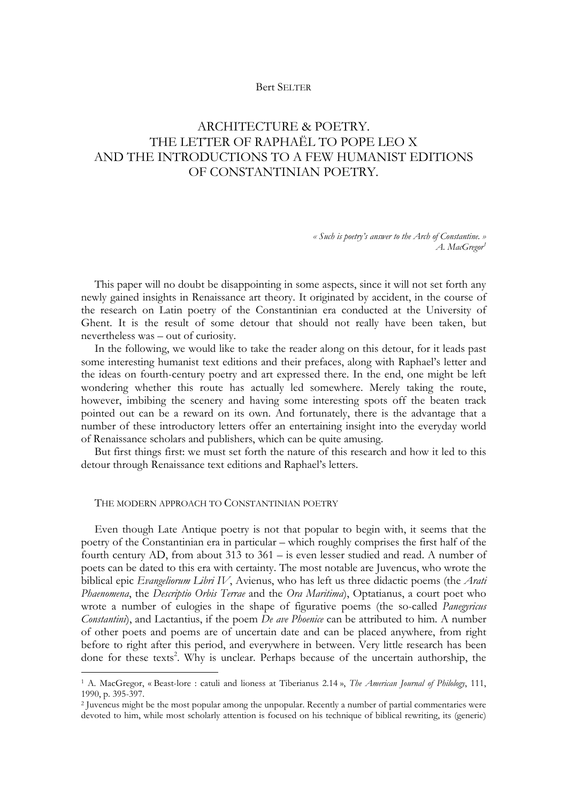### Bert SELTER

# ARCHITECTURE & POETRY. THE LETTER OF RAPHAËL TO POPE LEO X AND THE INTRODUCTIONS TO A FEW HUMANIST EDITIONS OF CONSTANTINIAN POETRY.

*« Such is poetry's answer to the Arch of Constantine. » A. MacGregor<sup>1</sup>*

This paper will no doubt be disappointing in some aspects, since it will not set forth any newly gained insights in Renaissance art theory. It originated by accident, in the course of the research on Latin poetry of the Constantinian era conducted at the University of Ghent. It is the result of some detour that should not really have been taken, but nevertheless was – out of curiosity.

In the following, we would like to take the reader along on this detour, for it leads past some interesting humanist text editions and their prefaces, along with Raphael's letter and the ideas on fourth-century poetry and art expressed there. In the end, one might be left wondering whether this route has actually led somewhere. Merely taking the route, however, imbibing the scenery and having some interesting spots off the beaten track pointed out can be a reward on its own. And fortunately, there is the advantage that a number of these introductory letters offer an entertaining insight into the everyday world of Renaissance scholars and publishers, which can be quite amusing.

But first things first: we must set forth the nature of this research and how it led to this detour through Renaissance text editions and Raphael's letters.

#### THE MODERN APPROACH TO CONSTANTINIAN POETRY

Even though Late Antique poetry is not that popular to begin with, it seems that the poetry of the Constantinian era in particular – which roughly comprises the first half of the fourth century AD, from about 313 to 361 – is even lesser studied and read. A number of poets can be dated to this era with certainty. The most notable are Juvencus, who wrote the biblical epic *Evangeliorum Libri IV*, Avienus, who has left us three didactic poems (the *Arati Phaenomena*, the *Descriptio Orbis Terrae* and the *Ora Maritima*), Optatianus, a court poet who wrote a number of eulogies in the shape of figurative poems (the so-called *Panegyricus Constantini*), and Lactantius, if the poem *De ave Phoenice* can be attributed to him. A number of other poets and poems are of uncertain date and can be placed anywhere, from right before to right after this period, and everywhere in between. Very little research has been done for these texts<sup>2</sup>. Why is unclear. Perhaps because of the uncertain authorship, the

<sup>1</sup> A. MacGregor, « Beast-lore : catuli and lioness at Tiberianus 2.14 », *The American Journal of Philology*, 111, 1990, p. 395-397.

<sup>2</sup> Juvencus might be the most popular among the unpopular. Recently a number of partial commentaries were devoted to him, while most scholarly attention is focused on his technique of biblical rewriting, its (generic)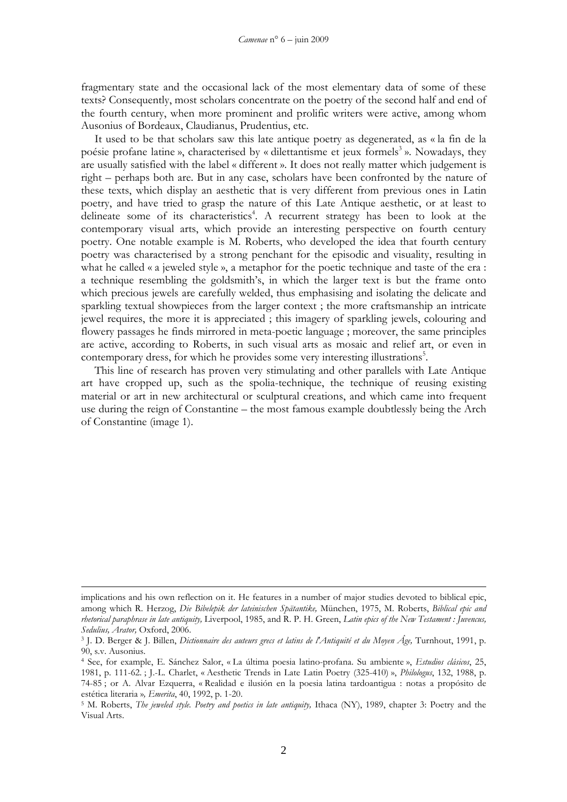fragmentary state and the occasional lack of the most elementary data of some of these texts? Consequently, most scholars concentrate on the poetry of the second half and end of the fourth century, when more prominent and prolific writers were active, among whom Ausonius of Bordeaux, Claudianus, Prudentius, etc.

It used to be that scholars saw this late antique poetry as degenerated, as « la fin de la poésie profane latine », characterised by « dilettantisme et jeux formels<sup>3</sup> ». Nowadays, they are usually satisfied with the label « different ». It does not really matter which judgement is right – perhaps both are. But in any case, scholars have been confronted by the nature of these texts, which display an aesthetic that is very different from previous ones in Latin poetry, and have tried to grasp the nature of this Late Antique aesthetic, or at least to delineate some of its characteristics<sup>4</sup>. A recurrent strategy has been to look at the contemporary visual arts, which provide an interesting perspective on fourth century poetry. One notable example is M. Roberts, who developed the idea that fourth century poetry was characterised by a strong penchant for the episodic and visuality, resulting in what he called « a jeweled style », a metaphor for the poetic technique and taste of the era : a technique resembling the goldsmith's, in which the larger text is but the frame onto which precious jewels are carefully welded, thus emphasising and isolating the delicate and sparkling textual showpieces from the larger context ; the more craftsmanship an intricate jewel requires, the more it is appreciated ; this imagery of sparkling jewels, colouring and flowery passages he finds mirrored in meta-poetic language ; moreover, the same principles are active, according to Roberts, in such visual arts as mosaic and relief art, or even in contemporary dress, for which he provides some very interesting illustrations<sup>5</sup>.

This line of research has proven very stimulating and other parallels with Late Antique art have cropped up, such as the spolia-technique, the technique of reusing existing material or art in new architectural or sculptural creations, and which came into frequent use during the reign of Constantine – the most famous example doubtlessly being the Arch of Constantine (image 1).

implications and his own reflection on it. He features in a number of major studies devoted to biblical epic, among which R. Herzog, *Die Bibelepik der lateinischen Spätantike,* München, 1975, M. Roberts, *Biblical epic and rhetorical paraphrase in late antiquity,* Liverpool, 1985, and R. P. H. Green, *Latin epics of the New Testament : Juvencus, Sedulius, Arator,* Oxford, 2006.

<sup>3</sup> J. D. Berger & J. Billen, *Dictionnaire des auteurs grecs et latins de l'Antiquité et du Moyen Âge,* Turnhout, 1991, p. 90, s.v. Ausonius.

<sup>4</sup> See, for example, E. Sánchez Salor, « La última poesia latino-profana. Su ambiente », *Estudios clásicos*, 25, 1981, p. 111-62. ; J.-L. Charlet, « Aesthetic Trends in Late Latin Poetry (325-410) », *Philologus*, 132, 1988, p. 74-85 ; or A. Alvar Ezquerra, « Realidad e ilusión en la poesia latina tardoantigua : notas a propósito de estética literaria »*, Emerita*, 40, 1992, p. 1-20.

<sup>5</sup> M. Roberts, *The jeweled style. Poetry and poetics in late antiquity,* Ithaca (NY), 1989, chapter 3: Poetry and the Visual Arts.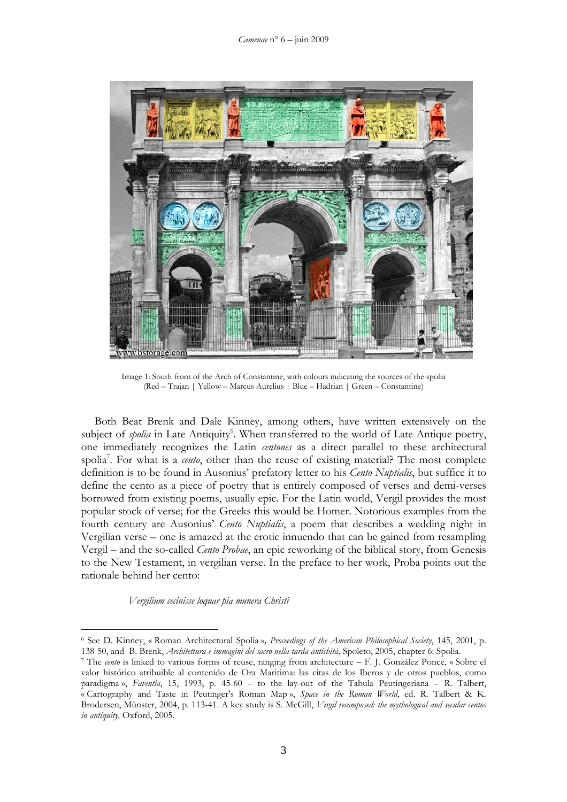

Image 1: South front of the Arch of Constantine, with colours indicating the sources of the spolia (Red – Trajan | Yellow – Marcus Aurelius | Blue – Hadrian | Green – Constantine)

Both Beat Brenk and Dale Kinney, among others, have written extensively on the subject of *spolia* in Late Antiquity<sup>6</sup>. When transferred to the world of Late Antique poetry, one immediately recognizes the Latin *centones* as a direct parallel to these architectural spolia<sup>7</sup>. For what is a *cento*, other than the reuse of existing material? The most complete definition is to be found in Ausonius' prefatory letter to his *Cento Nuptialis*, but suffice it to define the cento as a piece of poetry that is entirely composed of verses and demi-verses borrowed from existing poems, usually epic. For the Latin world, Vergil provides the most popular stock of verse; for the Greeks this would be Homer. Notorious examples from the fourth century are Ausonius' *Cento Nuptialis*, a poem that describes a wedding night in Vergilian verse – one is amazed at the erotic innuendo that can be gained from resampling Vergil – and the so-called *Cento Probae*, an epic reworking of the biblical story, from Genesis to the New Testament, in vergilian verse. In the preface to her work, Proba points out the rationale behind her cento:

*Vergilium cecinisse loquar pia munera Christi*

<sup>6</sup> See D. Kinney, « Roman Architectural Spolia »*, Proceedings of the American Philosophical Society*, 145, 2001, p. 138-50, and B. Brenk, *Architettura e immagini del sacro nella tarda antichità,* Spoleto, 2005, chapter 6: Spolia.

<sup>7</sup> The *cento* is linked to various forms of reuse, ranging from architecture – F. J. González Ponce, « Sobre el valor histórico atribuible al contenido de Ora Maritima: las citas de los Iberos y de otros pueblos, como paradigma », *Faventia*, 15, 1993, p. 45-60 – to the lay-out of the Tabula Peutingeriana – R. Talbert, « Cartography and Taste in Peutinger's Roman Map », *Space in the Roman World*, ed. R. Talbert & K. Brodersen, Münster, 2004, p. 113-41. A key study is S. McGill, *Virgil recomposed: the mythological and secular centos in antiquity,* Oxford, 2005.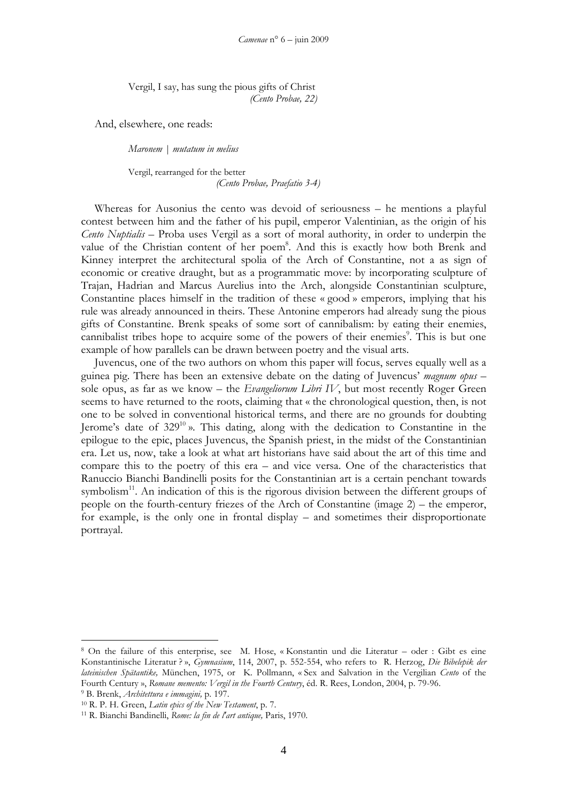Vergil, I say, has sung the pious gifts of Christ *(Cento Probae, 22)*

And, elsewhere, one reads:

*Maronem | mutatum in melius*

Vergil, rearranged for the better *(Cento Probae, Praefatio 3-4)*

Whereas for Ausonius the cento was devoid of seriousness – he mentions a playful contest between him and the father of his pupil, emperor Valentinian, as the origin of his *Cento Nuptialis* – Proba uses Vergil as a sort of moral authority, in order to underpin the value of the Christian content of her poem<sup>8</sup>. And this is exactly how both Brenk and Kinney interpret the architectural spolia of the Arch of Constantine, not a as sign of economic or creative draught, but as a programmatic move: by incorporating sculpture of Trajan, Hadrian and Marcus Aurelius into the Arch, alongside Constantinian sculpture, Constantine places himself in the tradition of these « good » emperors, implying that his rule was already announced in theirs. These Antonine emperors had already sung the pious gifts of Constantine. Brenk speaks of some sort of cannibalism: by eating their enemies, cannibalist tribes hope to acquire some of the powers of their enemies<sup>9</sup>. This is but one example of how parallels can be drawn between poetry and the visual arts.

Juvencus, one of the two authors on whom this paper will focus, serves equally well as a guinea pig. There has been an extensive debate on the dating of Juvencus' *magnum opus* – sole opus, as far as we know – the *Evangeliorum Libri IV*, but most recently Roger Green seems to have returned to the roots, claiming that « the chronological question, then, is not one to be solved in conventional historical terms, and there are no grounds for doubting Jerome's date of  $329^{10}$ ». This dating, along with the dedication to Constantine in the epilogue to the epic, places Juvencus, the Spanish priest, in the midst of the Constantinian era. Let us, now, take a look at what art historians have said about the art of this time and compare this to the poetry of this era – and vice versa. One of the characteristics that Ranuccio Bianchi Bandinelli posits for the Constantinian art is a certain penchant towards symbolism<sup>11</sup>. An indication of this is the rigorous division between the different groups of people on the fourth-century friezes of the Arch of Constantine (image 2) – the emperor, for example, is the only one in frontal display – and sometimes their disproportionate portrayal.

<sup>8</sup> On the failure of this enterprise, see M. Hose, « Konstantin und die Literatur – oder : Gibt es eine Konstantinische Literatur ? », *Gymnasium*, 114, 2007, p. 552-554, who refers to R. Herzog, *Die Bibelepik der lateinischen Spätantike,* München, 1975, or K. Pollmann, « Sex and Salvation in the Vergilian *Cento* of the Fourth Century », *Romane memento: Vergil in the Fourth Century*, éd. R. Rees, London, 2004, p. 79-96.

<sup>9</sup> B. Brenk, *Architettura e immagini,* p. 197.

<sup>10</sup> R. P. H. Green, *Latin epics of the New Testament*, p. 7.

<sup>11</sup> R. Bianchi Bandinelli, *Rome: la fin de l'art antique,* Paris, 1970.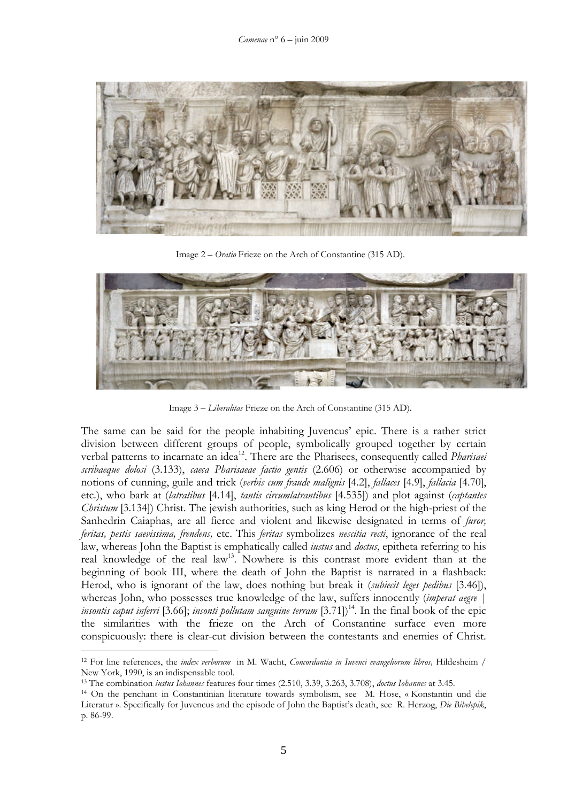

Image 2 – *Oratio* Frieze on the Arch of Constantine (315 AD).



Image 3 – *Liberalitas* Frieze on the Arch of Constantine (315 AD).

The same can be said for the people inhabiting Juvencus' epic. There is a rather strict division between different groups of people, symbolically grouped together by certain verbal patterns to incarnate an idea<sup>12</sup>. There are the Pharisees, consequently called *Pharisaei scribaeque dolosi* (3.133), *caeca Pharisaeae factio gentis* (2.606) or otherwise accompanied by notions of cunning, guile and trick (*verbis cum fraude malignis* [4.2], *fallaces* [4.9], *fallacia* [4.70], etc*.*), who bark at (*latratibus* [4.14], *tantis circumlatrantibus* [4.535]) and plot against (*captantes Christum* [3.134]) Christ. The jewish authorities, such as king Herod or the high-priest of the Sanhedrin Caiaphas, are all fierce and violent and likewise designated in terms of *furor, feritas, pestis saevissima, frendens,* etc. This *feritas* symbolizes *nescitia recti*, ignorance of the real law, whereas John the Baptist is emphatically called *iustus* and *doctus*, epitheta referring to his real knowledge of the real law<sup>13</sup>. Nowhere is this contrast more evident than at the beginning of book III, where the death of John the Baptist is narrated in a flashback: Herod, who is ignorant of the law, does nothing but break it (*subiecit leges pedibus* [3.46]), whereas John, who possesses true knowledge of the law, suffers innocently (*imperat aegre | insontis caput inferri* [3.66]; *insonti pollutam sanguine terram* [3.71]) <sup>14</sup>. In the final book of the epic the similarities with the frieze on the Arch of Constantine surface even more conspicuously: there is clear-cut division between the contestants and enemies of Christ.

<sup>12</sup> For line references, the *index verborum* in M. Wacht, *Concordantia in Iuvenci evangeliorum libros,* Hildesheim / New York, 1990, is an indispensable tool.

<sup>13</sup> The combination *iustus Iohannes* features four times (2.510, 3.39, 3.263, 3.708), *doctus Iohannes* at 3.45.

<sup>14</sup> On the penchant in Constantinian literature towards symbolism, see M. Hose, « Konstantin und die Literatur ». Specifically for Juvencus and the episode of John the Baptist's death, see R. Herzog, *Die Bibelepik*, p. 86-99.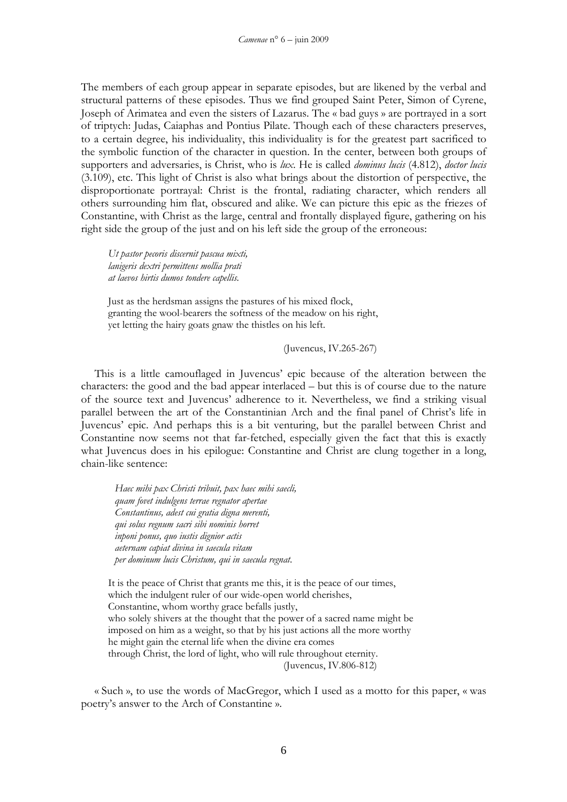The members of each group appear in separate episodes, but are likened by the verbal and structural patterns of these episodes. Thus we find grouped Saint Peter, Simon of Cyrene, Joseph of Arimatea and even the sisters of Lazarus. The « bad guys » are portrayed in a sort of triptych: Judas, Caiaphas and Pontius Pilate. Though each of these characters preserves, to a certain degree, his individuality, this individuality is for the greatest part sacrificed to the symbolic function of the character in question. In the center, between both groups of supporters and adversaries, is Christ, who is *lux*. He is called *dominus lucis* (4.812), *doctor lucis* (3.109), etc. This light of Christ is also what brings about the distortion of perspective, the disproportionate portrayal: Christ is the frontal, radiating character, which renders all others surrounding him flat, obscured and alike. We can picture this epic as the friezes of Constantine, with Christ as the large, central and frontally displayed figure, gathering on his right side the group of the just and on his left side the group of the erroneous:

*Ut pastor pecoris discernit pascua mixti, lanigeris dextri permittens mollia prati at laevos hirtis dumos tondere capellis.*

Just as the herdsman assigns the pastures of his mixed flock, granting the wool-bearers the softness of the meadow on his right, yet letting the hairy goats gnaw the thistles on his left.

(Juvencus, IV.265-267)

This is a little camouflaged in Juvencus' epic because of the alteration between the characters: the good and the bad appear interlaced – but this is of course due to the nature of the source text and Juvencus' adherence to it. Nevertheless, we find a striking visual parallel between the art of the Constantinian Arch and the final panel of Christ's life in Juvencus' epic. And perhaps this is a bit venturing, but the parallel between Christ and Constantine now seems not that far-fetched, especially given the fact that this is exactly what Juvencus does in his epilogue: Constantine and Christ are clung together in a long, chain-like sentence:

*Haec mihi pax Christi tribuit, pax haec mihi saecli, quam fovet indulgens terrae regnator apertae Constantinus, adest cui gratia digna merenti, qui solus regnum sacri sibi nominis horret inponi ponus, quo iustis dignior actis aeternam capiat divina in saecula vitam per dominum lucis Christum, qui in saecula regnat.*

It is the peace of Christ that grants me this, it is the peace of our times, which the indulgent ruler of our wide-open world cherishes, Constantine, whom worthy grace befalls justly, who solely shivers at the thought that the power of a sacred name might be imposed on him as a weight, so that by his just actions all the more worthy he might gain the eternal life when the divine era comes through Christ, the lord of light, who will rule throughout eternity. (Juvencus, IV.806-812)

« Such », to use the words of MacGregor, which I used as a motto for this paper, « was poetry's answer to the Arch of Constantine ».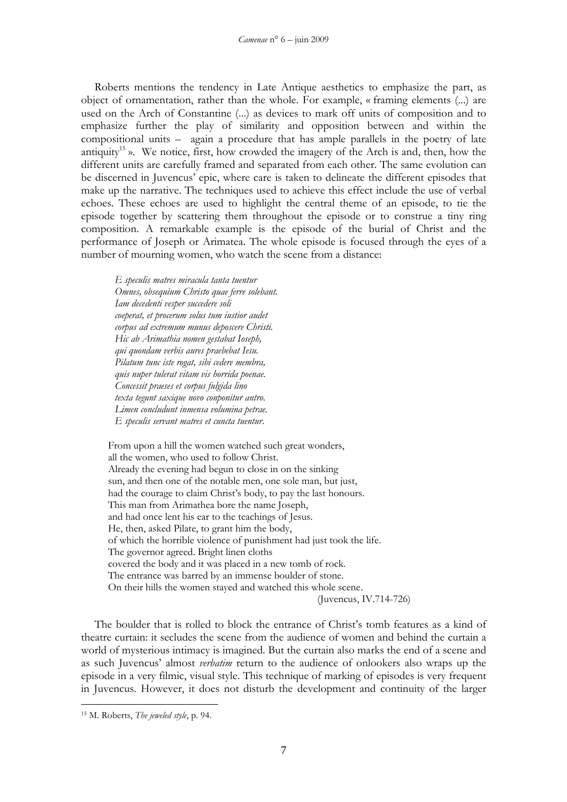Roberts mentions the tendency in Late Antique aesthetics to emphasize the part, as object of ornamentation, rather than the whole. For example, « framing elements (...) are used on the Arch of Constantine (...) as devices to mark off units of composition and to emphasize further the play of similarity and opposition between and within the compositional units – again a procedure that has ample parallels in the poetry of late antiquity<sup>15</sup> ». We notice, first, how crowded the imagery of the Arch is and, then, how the different units are carefully framed and separated from each other. The same evolution can be discerned in Juvencus' epic, where care is taken to delineate the different episodes that make up the narrative. The techniques used to achieve this effect include the use of verbal echoes. These echoes are used to highlight the central theme of an episode, to tie the episode together by scattering them throughout the episode or to construe a tiny ring composition. A remarkable example is the episode of the burial of Christ and the performance of Joseph or Arimatea. The whole episode is focused through the eyes of a number of mourning women, who watch the scene from a distance:

*E speculis matres miracula tanta tuentur Omnes, obsequium Christo quae ferre solebant. Iam decedenti vesper succedere soli coeperat, et procerum solus tum iustior audet corpus ad extremum munus deposcere Christi. Hic ab Arimathia nomen gestabat Ioseph, qui quondam verbis aures praebebat Iesu. Pilatum tunc iste rogat, sibi cedere membra, quis nuper tulerat vitam vis horrida poenae. Concessit praeses et corpus fulgida lino texta tegunt saxique novo conponitur antro. Limen concludunt inmensa volumina petrae. E speculis servant matres et cuncta tuentur*.

From upon a hill the women watched such great wonders, all the women, who used to follow Christ. Already the evening had begun to close in on the sinking sun, and then one of the notable men, one sole man, but just, had the courage to claim Christ's body, to pay the last honours. This man from Arimathea bore the name Joseph, and had once lent his ear to the teachings of Jesus. He, then, asked Pilate, to grant him the body, of which the horrible violence of punishment had just took the life. The governor agreed. Bright linen cloths covered the body and it was placed in a new tomb of rock. The entrance was barred by an immense boulder of stone. On their hills the women stayed and watched this whole scene.

(Juvencus, IV.714-726)

The boulder that is rolled to block the entrance of Christ's tomb features as a kind of theatre curtain: it secludes the scene from the audience of women and behind the curtain a world of mysterious intimacy is imagined. But the curtain also marks the end of a scene and as such Juvencus' almost *verbatim* return to the audience of onlookers also wraps up the episode in a very filmic, visual style. This technique of marking of episodes is very frequent in Juvencus. However, it does not disturb the development and continuity of the larger

<sup>15</sup> M. Roberts, *The jeweled style*, p. 94.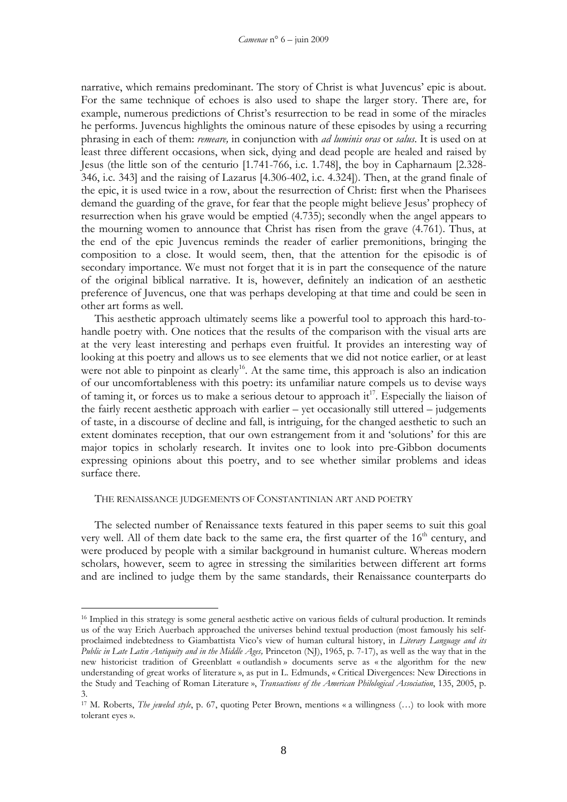narrative, which remains predominant. The story of Christ is what Juvencus' epic is about. For the same technique of echoes is also used to shape the larger story. There are, for example, numerous predictions of Christ's resurrection to be read in some of the miracles he performs. Juvencus highlights the ominous nature of these episodes by using a recurring phrasing in each of them: *remeare,* in conjunction with *ad luminis oras* or *salus*. It is used on at least three different occasions, when sick, dying and dead people are healed and raised by Jesus (the little son of the centurio [1.741-766, i.c. 1.748], the boy in Capharnaum [2.328- 346, i.c. 343] and the raising of Lazarus [4.306-402, i.c. 4.324]). Then, at the grand finale of the epic, it is used twice in a row, about the resurrection of Christ: first when the Pharisees demand the guarding of the grave, for fear that the people might believe Jesus' prophecy of resurrection when his grave would be emptied (4.735); secondly when the angel appears to the mourning women to announce that Christ has risen from the grave (4.761). Thus, at the end of the epic Juvencus reminds the reader of earlier premonitions, bringing the composition to a close. It would seem, then, that the attention for the episodic is of secondary importance. We must not forget that it is in part the consequence of the nature of the original biblical narrative. It is, however, definitely an indication of an aesthetic preference of Juvencus, one that was perhaps developing at that time and could be seen in other art forms as well.

This aesthetic approach ultimately seems like a powerful tool to approach this hard-tohandle poetry with. One notices that the results of the comparison with the visual arts are at the very least interesting and perhaps even fruitful. It provides an interesting way of looking at this poetry and allows us to see elements that we did not notice earlier, or at least were not able to pinpoint as clearly<sup>16</sup>. At the same time, this approach is also an indication of our uncomfortableness with this poetry: its unfamiliar nature compels us to devise ways of taming it, or forces us to make a serious detour to approach it<sup>17</sup>. Especially the liaison of the fairly recent aesthetic approach with earlier – yet occasionally still uttered – judgements of taste, in a discourse of decline and fall, is intriguing, for the changed aesthetic to such an extent dominates reception, that our own estrangement from it and 'solutions' for this are major topics in scholarly research. It invites one to look into pre-Gibbon documents expressing opinions about this poetry, and to see whether similar problems and ideas surface there.

#### THE RENAISSANCE JUDGEMENTS OF CONSTANTINIAN ART AND POETRY

The selected number of Renaissance texts featured in this paper seems to suit this goal very well. All of them date back to the same era, the first quarter of the  $16<sup>th</sup>$  century, and were produced by people with a similar background in humanist culture. Whereas modern scholars, however, seem to agree in stressing the similarities between different art forms and are inclined to judge them by the same standards, their Renaissance counterparts do

<sup>&</sup>lt;sup>16</sup> Implied in this strategy is some general aesthetic active on various fields of cultural production. It reminds us of the way Erich Auerbach approached the universes behind textual production (most famously his selfproclaimed indebtedness to Giambattista Vico's view of human cultural history, in *Literary Language and its Public in Late Latin Antiquity and in the Middle Ages,* Princeton (NJ), 1965, p. 7-17), as well as the way that in the new historicist tradition of Greenblatt « outlandish » documents serve as « the algorithm for the new understanding of great works of literature », as put in L. Edmunds, « Critical Divergences: New Directions in the Study and Teaching of Roman Literature », *Transactions of the American Philological Association*, 135, 2005, p. 3.

<sup>17</sup> M. Roberts, *The jeweled style*, p. 67, quoting Peter Brown, mentions « a willingness (…) to look with more tolerant eyes ».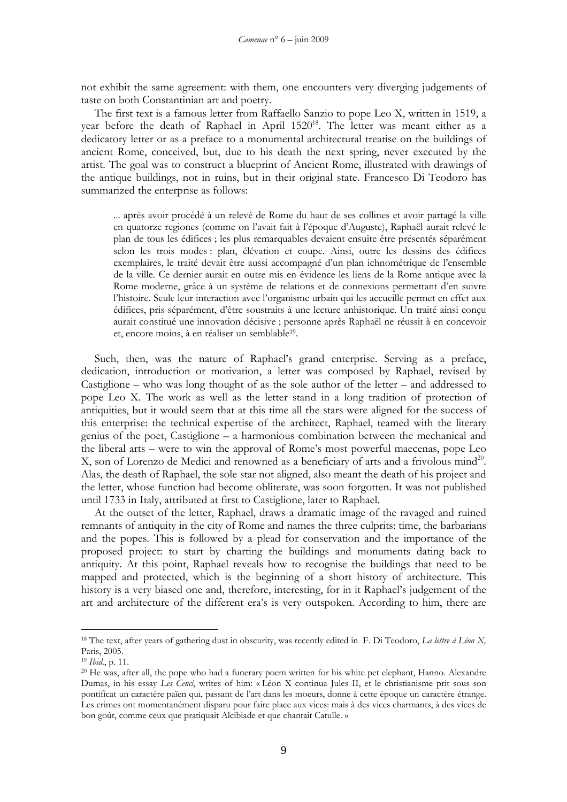not exhibit the same agreement: with them, one encounters very diverging judgements of taste on both Constantinian art and poetry.

The first text is a famous letter from Raffaello Sanzio to pope Leo X, written in 1519, a year before the death of Raphael in April 1520<sup>18</sup>. The letter was meant either as a dedicatory letter or as a preface to a monumental architectural treatise on the buildings of ancient Rome, conceived, but, due to his death the next spring, never executed by the artist. The goal was to construct a blueprint of Ancient Rome, illustrated with drawings of the antique buildings, not in ruins, but in their original state. Francesco Di Teodoro has summarized the enterprise as follows:

... après avoir procédé à un relevé de Rome du haut de ses collines et avoir partagé la ville en quatorze regiones (comme on l'avait fait à l'époque d'Auguste), Raphaël aurait relevé le plan de tous les édifices ; les plus remarquables devaient ensuite être présentés séparément selon les trois modes : plan, élévation et coupe. Ainsi, outre les dessins des édifices exemplaires, le traité devait être aussi accompagné d'un plan ichnométrique de l'ensemble de la ville. Ce dernier aurait en outre mis en évidence les liens de la Rome antique avec la Rome moderne, grâce à un système de relations et de connexions permettant d'en suivre l'histoire. Seule leur interaction avec l'organisme urbain qui les accueille permet en effet aux édifices, pris séparément, d'être soustraits à une lecture anhistorique. Un traité ainsi conçu aurait constitué une innovation décisive ; personne après Raphaël ne réussit à en concevoir et, encore moins, à en réaliser un semblable<sup>19</sup> .

Such, then, was the nature of Raphael's grand enterprise. Serving as a preface, dedication, introduction or motivation, a letter was composed by Raphael, revised by Castiglione – who was long thought of as the sole author of the letter – and addressed to pope Leo X. The work as well as the letter stand in a long tradition of protection of antiquities, but it would seem that at this time all the stars were aligned for the success of this enterprise: the technical expertise of the architect, Raphael, teamed with the literary genius of the poet, Castiglione – a harmonious combination between the mechanical and the liberal arts – were to win the approval of Rome's most powerful maecenas, pope Leo X, son of Lorenzo de Medici and renowned as a beneficiary of arts and a frivolous mind $^{20}$ . Alas, the death of Raphael, the sole star not aligned, also meant the death of his project and the letter, whose function had become obliterate, was soon forgotten. It was not published until 1733 in Italy, attributed at first to Castiglione, later to Raphael.

At the outset of the letter, Raphael, draws a dramatic image of the ravaged and ruined remnants of antiquity in the city of Rome and names the three culprits: time, the barbarians and the popes. This is followed by a plead for conservation and the importance of the proposed project: to start by charting the buildings and monuments dating back to antiquity. At this point, Raphael reveals how to recognise the buildings that need to be mapped and protected, which is the beginning of a short history of architecture. This history is a very biased one and, therefore, interesting, for in it Raphael's judgement of the art and architecture of the different era's is very outspoken. According to him, there are

<sup>18</sup> The text, after years of gathering dust in obscurity, was recently edited in F. Di Teodoro, *La lettre à Léon X,* Paris, 2005.

<sup>19</sup> *Ibid*., p. 11.

<sup>&</sup>lt;sup>20</sup> He was, after all, the pope who had a funerary poem written for his white pet elephant, Hanno. Alexandre Dumas, in his essay *Les Cenci*, writes of him: « Léon X continua Jules II, et le christianisme prit sous son pontificat un caractère païen qui, passant de l'art dans les moeurs, donne à cette époque un caractère étrange. Les crimes ont momentanément disparu pour faire place aux vices: mais à des vices charmants, à des vices de bon goût, comme ceux que pratiquait Alcibiade et que chantait Catulle. »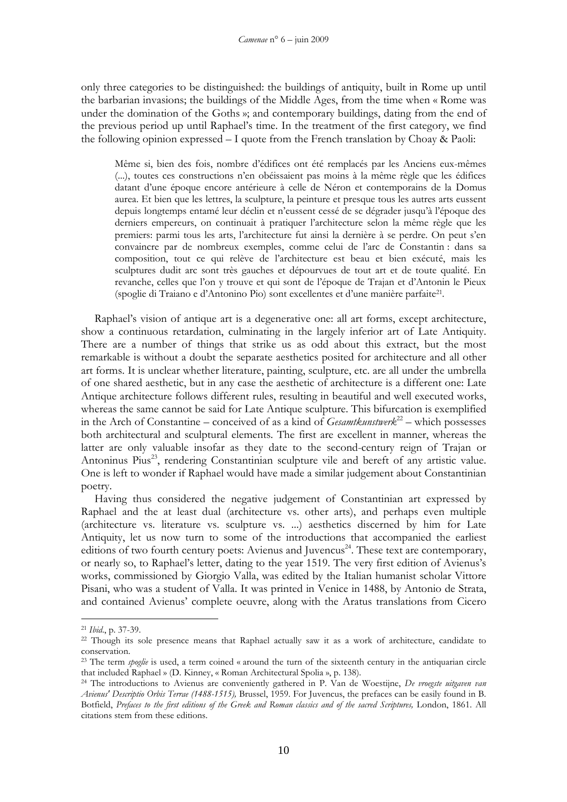only three categories to be distinguished: the buildings of antiquity, built in Rome up until the barbarian invasions; the buildings of the Middle Ages, from the time when « Rome was under the domination of the Goths »; and contemporary buildings, dating from the end of the previous period up until Raphael's time. In the treatment of the first category, we find the following opinion expressed – I quote from the French translation by Choay & Paoli:

Même si, bien des fois, nombre d'édifices ont été remplacés par les Anciens eux-mêmes (...), toutes ces constructions n'en obéissaient pas moins à la même règle que les édifices datant d'une époque encore antérieure à celle de Néron et contemporains de la Domus aurea. Et bien que les lettres, la sculpture, la peinture et presque tous les autres arts eussent depuis longtemps entamé leur déclin et n'eussent cessé de se dégrader jusqu'à l'époque des derniers empereurs, on continuait à pratiquer l'architecture selon la même règle que les premiers: parmi tous les arts, l'architecture fut ainsi la dernière à se perdre. On peut s'en convaincre par de nombreux exemples, comme celui de l'arc de Constantin : dans sa composition, tout ce qui relève de l'architecture est beau et bien exécuté, mais les sculptures dudit arc sont très gauches et dépourvues de tout art et de toute qualité. En revanche, celles que l'on y trouve et qui sont de l'époque de Trajan et d'Antonin le Pieux (spoglie di Traiano e d'Antonino Pio) sont excellentes et d'une manière parfaite<sup>21</sup> *.*

Raphael's vision of antique art is a degenerative one: all art forms, except architecture, show a continuous retardation, culminating in the largely inferior art of Late Antiquity. There are a number of things that strike us as odd about this extract, but the most remarkable is without a doubt the separate aesthetics posited for architecture and all other art forms. It is unclear whether literature, painting, sculpture, etc. are all under the umbrella of one shared aesthetic, but in any case the aesthetic of architecture is a different one: Late Antique architecture follows different rules, resulting in beautiful and well executed works, whereas the same cannot be said for Late Antique sculpture. This bifurcation is exemplified in the Arch of Constantine – conceived of as a kind of *Gesamtkunstwerk*<sup>22</sup> – which possesses both architectural and sculptural elements. The first are excellent in manner, whereas the latter are only valuable insofar as they date to the second-century reign of Trajan or Antoninus Pius<sup>23</sup>, rendering Constantinian sculpture vile and bereft of any artistic value. One is left to wonder if Raphael would have made a similar judgement about Constantinian poetry.

Having thus considered the negative judgement of Constantinian art expressed by Raphael and the at least dual (architecture vs. other arts), and perhaps even multiple (architecture vs. literature vs. sculpture vs. ...) aesthetics discerned by him for Late Antiquity, let us now turn to some of the introductions that accompanied the earliest editions of two fourth century poets: Avienus and Juvencus<sup>24</sup>. These text are contemporary, or nearly so, to Raphael's letter, dating to the year 1519. The very first edition of Avienus's works, commissioned by Giorgio Valla, was edited by the Italian humanist scholar Vittore Pisani, who was a student of Valla. It was printed in Venice in 1488, by Antonio de Strata, and contained Avienus' complete oeuvre, along with the Aratus translations from Cicero

<sup>21</sup> *Ibid*., p. 37-39.

<sup>22</sup> Though its sole presence means that Raphael actually saw it as a work of architecture, candidate to conservation.

<sup>&</sup>lt;sup>23</sup> The term *spoglie* is used, a term coined « around the turn of the sixteenth century in the antiquarian circle that included Raphael » (D. Kinney, « Roman Architectural Spolia », p. 138).

<sup>24</sup> The introductions to Avienus are conveniently gathered in P. Van de Woestijne, *De vroegste uitgaven van Avienus' Descriptio Orbis Terrae (1488-1515),* Brussel, 1959. For Juvencus, the prefaces can be easily found in B. Botfield, *Prefaces to the first editions of the Greek and Roman classics and of the sacred Scriptures,* London, 1861. All citations stem from these editions.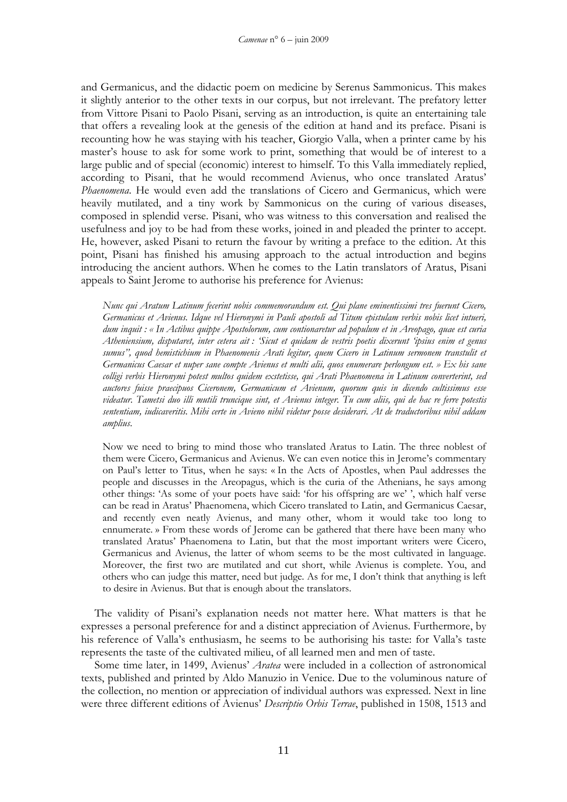and Germanicus, and the didactic poem on medicine by Serenus Sammonicus. This makes it slightly anterior to the other texts in our corpus, but not irrelevant. The prefatory letter from Vittore Pisani to Paolo Pisani, serving as an introduction, is quite an entertaining tale that offers a revealing look at the genesis of the edition at hand and its preface. Pisani is recounting how he was staying with his teacher, Giorgio Valla, when a printer came by his master's house to ask for some work to print, something that would be of interest to a large public and of special (economic) interest to himself. To this Valla immediately replied, according to Pisani, that he would recommend Avienus, who once translated Aratus' *Phaenomena*. He would even add the translations of Cicero and Germanicus, which were heavily mutilated, and a tiny work by Sammonicus on the curing of various diseases, composed in splendid verse. Pisani, who was witness to this conversation and realised the usefulness and joy to be had from these works, joined in and pleaded the printer to accept. He, however, asked Pisani to return the favour by writing a preface to the edition. At this point, Pisani has finished his amusing approach to the actual introduction and begins introducing the ancient authors. When he comes to the Latin translators of Aratus, Pisani appeals to Saint Jerome to authorise his preference for Avienus:

*Nunc qui Aratum Latinum fecerint nobis commemorandum est. Qui plane eminentissimi tres fuerunt Cicero, Germanicus et Avienus. Idque vel Hieronymi in Pauli apostoli ad Titum epistulam verbis nobis licet intueri, dum inquit : « In Actibus quippe Apostolorum, cum contionaretur ad populum et in Areopago, quae est curia Atheniensium, disputaret, inter cetera ait : 'Sicut et quidam de vestris poetis dixerunt 'ipsius enim et genus sumus'', quod hemistichium in Phaenomenis Arati legitur, quem Cicero in Latinum sermonem transtulit et Germanicus Caesar et nuper sane compte Avienus et multi alii, quos enumerare perlongum est. » Ex his sane colligi verbis Hieronymi potest multos quidem exstetisse, qui Arati Phaenomena in Latinum converterint, sed auctores fuisse praecipuos Ciceronem, Germanicum et Avienum, quorum quis in dicendo cultissimus esse videatur. Tametsi duo illi mutili truncique sint, et Avienus integer. Tu cum aliis, qui de hac re ferre potestis sententiam, iudicaveritis. Mihi certe in Avieno nihil videtur posse desiderari. At de traductoribus nihil addam amplius*.

Now we need to bring to mind those who translated Aratus to Latin. The three noblest of them were Cicero, Germanicus and Avienus. We can even notice this in Jerome's commentary on Paul's letter to Titus, when he says: « In the Acts of Apostles, when Paul addresses the people and discusses in the Areopagus, which is the curia of the Athenians, he says among other things: 'As some of your poets have said: 'for his offspring are we' ', which half verse can be read in Aratus' Phaenomena, which Cicero translated to Latin, and Germanicus Caesar, and recently even neatly Avienus, and many other, whom it would take too long to ennumerate. » From these words of Jerome can be gathered that there have been many who translated Aratus' Phaenomena to Latin, but that the most important writers were Cicero, Germanicus and Avienus, the latter of whom seems to be the most cultivated in language. Moreover, the first two are mutilated and cut short, while Avienus is complete. You, and others who can judge this matter, need but judge. As for me, I don't think that anything is left to desire in Avienus. But that is enough about the translators.

The validity of Pisani's explanation needs not matter here. What matters is that he expresses a personal preference for and a distinct appreciation of Avienus. Furthermore, by his reference of Valla's enthusiasm, he seems to be authorising his taste: for Valla's taste represents the taste of the cultivated milieu, of all learned men and men of taste.

Some time later, in 1499, Avienus' *Aratea* were included in a collection of astronomical texts, published and printed by Aldo Manuzio in Venice. Due to the voluminous nature of the collection, no mention or appreciation of individual authors was expressed. Next in line were three different editions of Avienus' *Descriptio Orbis Terrae*, published in 1508, 1513 and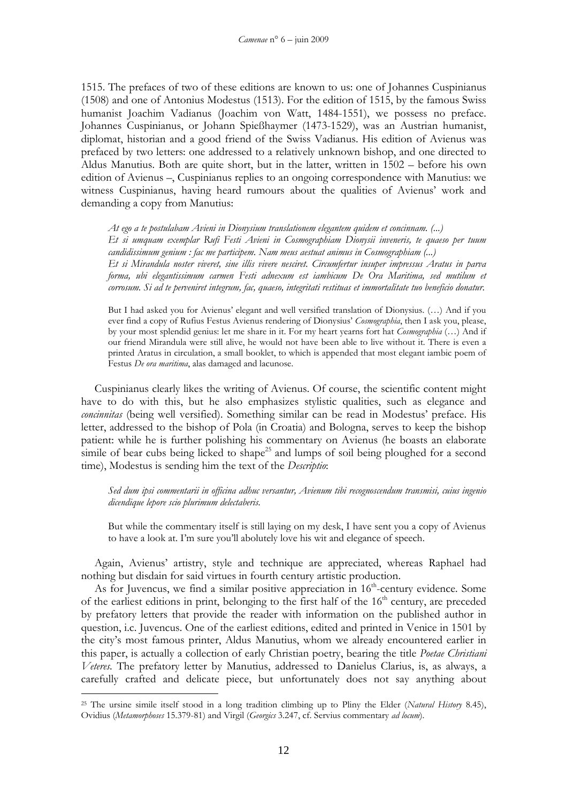1515. The prefaces of two of these editions are known to us: one of Johannes Cuspinianus (1508) and one of Antonius Modestus (1513). For the edition of 1515, by the famous Swiss humanist Joachim Vadianus (Joachim von Watt, 1484-1551), we possess no preface. Johannes Cuspinianus, or Johann Spießhaymer (1473-1529), was an Austrian humanist, diplomat, historian and a good friend of the Swiss Vadianus. His edition of Avienus was prefaced by two letters: one addressed to a relatively unknown bishop, and one directed to Aldus Manutius. Both are quite short, but in the latter, written in 1502 – before his own edition of Avienus –, Cuspinianus replies to an ongoing correspondence with Manutius: we witness Cuspinianus, having heard rumours about the qualities of Avienus' work and demanding a copy from Manutius:

*At ego a te postulabam Avieni in Dionysium translationem elegantem quidem et concinnam. (...) Et si umquam exemplar Rufi Festi Avieni in Cosmographiam Dionysii inveneris, te quaeso per tuum candidissimum genium : fac me participem. Nam meus aestuat animus in Cosmographiam (...) Et si Mirandula noster viveret, sine illis vivere nesciret. Circumfertur insuper impressus Aratus in parva forma, ubi elegantissimum carmen Festi adnexum est iambicum De Ora Maritima, sed mutilum et corrosum. Si ad te perveniret integrum, fac, quaeso, integritati restituas et immortalitate tuo beneficio donatur.*

But I had asked you for Avienus' elegant and well versified translation of Dionysius. (…) And if you ever find a copy of Rufius Festus Avienus rendering of Dionysius' *Cosmographia*, then I ask you, please, by your most splendid genius: let me share in it. For my heart yearns fort hat *Cosmographia* (…) And if our friend Mirandula were still alive, he would not have been able to live without it. There is even a printed Aratus in circulation, a small booklet, to which is appended that most elegant iambic poem of Festus *De ora maritima*, alas damaged and lacunose.

Cuspinianus clearly likes the writing of Avienus. Of course, the scientific content might have to do with this, but he also emphasizes stylistic qualities, such as elegance and *concinnitas* (being well versified). Something similar can be read in Modestus' preface. His letter, addressed to the bishop of Pola (in Croatia) and Bologna, serves to keep the bishop patient: while he is further polishing his commentary on Avienus (he boasts an elaborate simile of bear cubs being licked to shape<sup>25</sup> and lumps of soil being ploughed for a second time), Modestus is sending him the text of the *Descriptio*:

*Sed dum ipsi commentarii in officina adhuc versantur, Avienum tibi recognoscendum transmisi, cuius ingenio dicendique lepore scio plurimum delectaberis.*

But while the commentary itself is still laying on my desk, I have sent you a copy of Avienus to have a look at. I'm sure you'll abolutely love his wit and elegance of speech.

Again, Avienus' artistry, style and technique are appreciated, whereas Raphael had nothing but disdain for said virtues in fourth century artistic production.

As for Juvencus, we find a similar positive appreciation in 16<sup>th</sup>-century evidence. Some of the earliest editions in print, belonging to the first half of the 16<sup>th</sup> century, are preceded by prefatory letters that provide the reader with information on the published author in question, i.c. Juvencus. One of the earliest editions, edited and printed in Venice in 1501 by the city's most famous printer, Aldus Manutius, whom we already encountered earlier in this paper, is actually a collection of early Christian poetry, bearing the title *Poetae Christiani Veteres*. The prefatory letter by Manutius, addressed to Danielus Clarius, is, as always, a carefully crafted and delicate piece, but unfortunately does not say anything about

<sup>25</sup> The ursine simile itself stood in a long tradition climbing up to Pliny the Elder (*Natural History* 8.45), Ovidius (*Metamorphoses* 15.379-81) and Virgil (*Georgics* 3.247, cf. Servius commentary *ad locum*).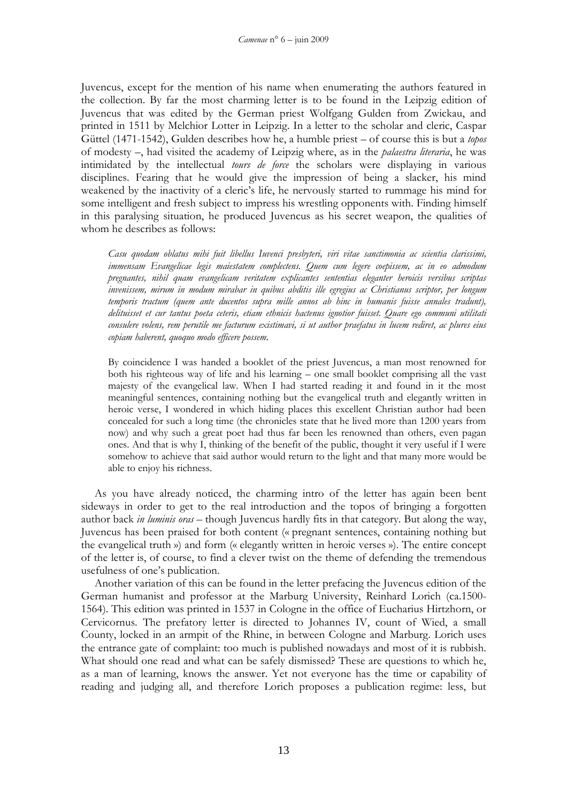Juvencus, except for the mention of his name when enumerating the authors featured in the collection. By far the most charming letter is to be found in the Leipzig edition of Juvencus that was edited by the German priest Wolfgang Gulden from Zwickau, and printed in 1511 by Melchior Lotter in Leipzig. In a letter to the scholar and cleric, Caspar Güttel (1471-1542), Gulden describes how he, a humble priest – of course this is but a *topos* of modesty –, had visited the academy of Leipzig where, as in the *palaestra literaria*, he was intimidated by the intellectual *tours de force* the scholars were displaying in various disciplines. Fearing that he would give the impression of being a slacker, his mind weakened by the inactivity of a cleric's life, he nervously started to rummage his mind for some intelligent and fresh subject to impress his wrestling opponents with. Finding himself in this paralysing situation, he produced Juvencus as his secret weapon, the qualities of whom he describes as follows:

*Casu quodam oblatus mihi fuit libellus Iuvenci presbyteri, viri vitae sanctimonia ac scientia clarissimi, immensam Evangelicae legis maiestatem complectens. Quem cum legere coepissem, ac in eo admodum pregnantes, nihil quam evangelicam veritatem explicantes sententias eleganter heroicis versibus scriptas invenissem, mirum in modum mirabar in quibus abditis ille egregius ac Christianus scriptor, per longum temporis tractum (quem ante ducentos supra mille annos ab hinc in humanis fuisse annales tradunt), delituisset et cur tantus poeta ceteris, etiam ethnicis hactenus ignotior fuisset. Quare ego communi utilitati consulere volens, rem perutile me facturum existimavi, si ut author praefatus in lucem rediret, ac plures eius copiam haberent, quoquo modo efficere possem.*

By coincidence I was handed a booklet of the priest Juvencus, a man most renowned for both his righteous way of life and his learning – one small booklet comprising all the vast majesty of the evangelical law. When I had started reading it and found in it the most meaningful sentences, containing nothing but the evangelical truth and elegantly written in heroic verse, I wondered in which hiding places this excellent Christian author had been concealed for such a long time (the chronicles state that he lived more than 1200 years from now) and why such a great poet had thus far been les renowned than others, even pagan ones. And that is why I, thinking of the benefit of the public, thought it very useful if I were somehow to achieve that said author would return to the light and that many more would be able to enjoy his richness.

As you have already noticed, the charming intro of the letter has again been bent sideways in order to get to the real introduction and the topos of bringing a forgotten author back *in luminis oras* – though Juvencus hardly fits in that category. But along the way, Juvencus has been praised for both content (« pregnant sentences, containing nothing but the evangelical truth ») and form (« elegantly written in heroic verses »). The entire concept of the letter is, of course, to find a clever twist on the theme of defending the tremendous usefulness of one's publication.

Another variation of this can be found in the letter prefacing the Juvencus edition of the German humanist and professor at the Marburg University, Reinhard Lorich (ca.1500- 1564). This edition was printed in 1537 in Cologne in the office of Eucharius Hirtzhorn, or Cervicornus. The prefatory letter is directed to Johannes IV, count of Wied, a small County, locked in an armpit of the Rhine, in between Cologne and Marburg. Lorich uses the entrance gate of complaint: too much is published nowadays and most of it is rubbish. What should one read and what can be safely dismissed? These are questions to which he, as a man of learning, knows the answer. Yet not everyone has the time or capability of reading and judging all, and therefore Lorich proposes a publication regime: less, but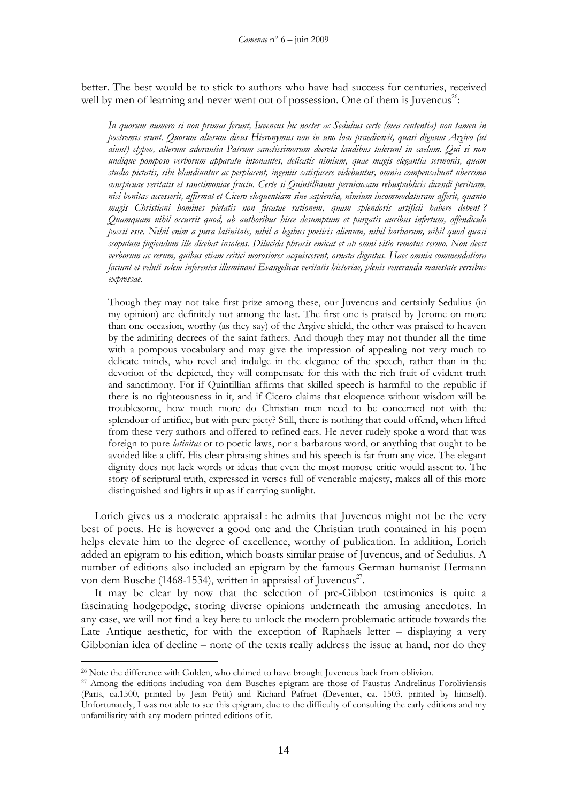better. The best would be to stick to authors who have had success for centuries, received well by men of learning and never went out of possession. One of them is Juvencus<sup>26</sup>:

*In quorum numero si non primas ferunt, Iuvencus hic noster ac Sedulius certe (mea sententia) non tamen in postremis erunt. Quorum alterum divus Hieronymus non in uno loco praedicavit, quasi dignum Argivo (ut aiunt) clypeo, alterum adorantia Patrum sanctissimorum decreta laudibus tulerunt in caelum. Qui si non undique pomposo verborum apparatu intonantes, delicatis nimium, quae magis elegantia sermonis, quam studio pictatis, sibi blandiuntur ac perplacent, ingeniis satisfacere videbuntur, omnia compensabunt uberrimo conspicuae veritatis et sanctimoniae fructu. Certe si Quintillianus perniciosam rebuspublicis dicendi peritiam, nisi bonitas accesserit, affirmat et Cicero eloquentiam sine sapientia, nimium incommodaturam afferit, quanto magis Christiani homines pietatis non fucatae rationem, quam splendoris artificii habere debent ? Quamquam nihil occurrit quod, ab authoribus hisce desumptum et purgatis auribus infertum, offendiculo possit esse. Nihil enim a pura latinitate, nihil a legibus poeticis alienum, nihil barbarum, nihil quod quasi scopulum fugiendum ille dicebat insolens. Dilucida phrasis emicat et ab omni vitio remotus sermo. Non deest verborum ac rerum, quibus etiam critici morosiores acquiscerent, ornata dignitas. Haec omnia commendatiora faciunt et veluti solem inferentes illuminant Evangelicae veritatis historiae, plenis veneranda maiestate versibus expressae.*

Though they may not take first prize among these, our Juvencus and certainly Sedulius (in my opinion) are definitely not among the last. The first one is praised by Jerome on more than one occasion, worthy (as they say) of the Argive shield, the other was praised to heaven by the admiring decrees of the saint fathers. And though they may not thunder all the time with a pompous vocabulary and may give the impression of appealing not very much to delicate minds, who revel and indulge in the elegance of the speech, rather than in the devotion of the depicted, they will compensate for this with the rich fruit of evident truth and sanctimony. For if Quintillian affirms that skilled speech is harmful to the republic if there is no righteousness in it, and if Cicero claims that eloquence without wisdom will be troublesome, how much more do Christian men need to be concerned not with the splendour of artifice, but with pure piety? Still, there is nothing that could offend, when lifted from these very authors and offered to refined ears. He never rudely spoke a word that was foreign to pure *latinitas* or to poetic laws, nor a barbarous word, or anything that ought to be avoided like a cliff. His clear phrasing shines and his speech is far from any vice. The elegant dignity does not lack words or ideas that even the most morose critic would assent to. The story of scriptural truth, expressed in verses full of venerable majesty, makes all of this more distinguished and lights it up as if carrying sunlight.

Lorich gives us a moderate appraisal : he admits that Juvencus might not be the very best of poets. He is however a good one and the Christian truth contained in his poem helps elevate him to the degree of excellence, worthy of publication. In addition, Lorich added an epigram to his edition, which boasts similar praise of Juvencus, and of Sedulius. A number of editions also included an epigram by the famous German humanist Hermann von dem Busche (1468-1534), written in appraisal of Juvencus<sup>27</sup>.

It may be clear by now that the selection of pre-Gibbon testimonies is quite a fascinating hodgepodge, storing diverse opinions underneath the amusing anecdotes. In any case, we will not find a key here to unlock the modern problematic attitude towards the Late Antique aesthetic, for with the exception of Raphaels letter – displaying a very Gibbonian idea of decline – none of the texts really address the issue at hand, nor do they

<sup>&</sup>lt;sup>26</sup> Note the difference with Gulden, who claimed to have brought Juvencus back from oblivion.

<sup>&</sup>lt;sup>27</sup> Among the editions including von dem Busches epigram are those of Faustus Andrelinus Foroliviensis (Paris, ca.1500, printed by Jean Petit) and Richard Pafraet (Deventer, ca. 1503, printed by himself). Unfortunately, I was not able to see this epigram, due to the difficulty of consulting the early editions and my unfamiliarity with any modern printed editions of it.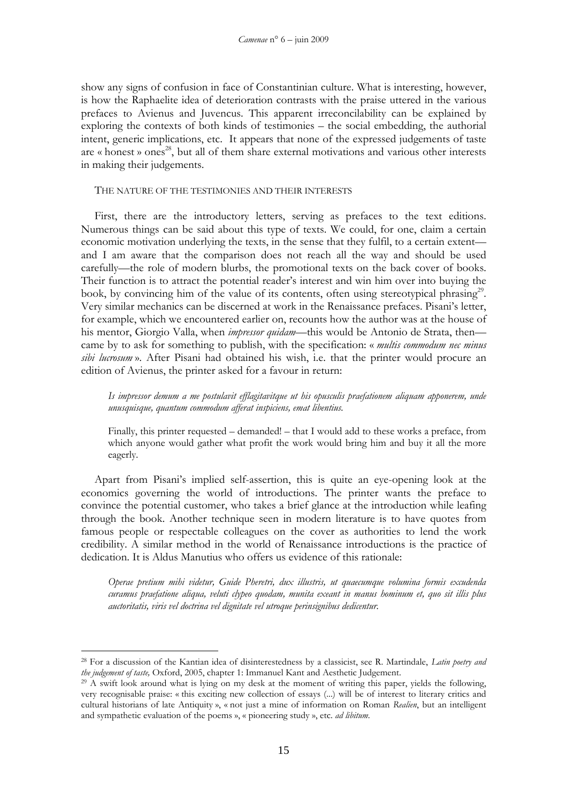show any signs of confusion in face of Constantinian culture. What is interesting, however, is how the Raphaelite idea of deterioration contrasts with the praise uttered in the various prefaces to Avienus and Juvencus. This apparent irreconcilability can be explained by exploring the contexts of both kinds of testimonies – the social embedding, the authorial intent, generic implications, etc. It appears that none of the expressed judgements of taste are « honest » ones <sup>28</sup>, but all of them share external motivations and various other interests in making their judgements.

#### THE NATURE OF THE TESTIMONIES AND THEIR INTERESTS

First, there are the introductory letters, serving as prefaces to the text editions. Numerous things can be said about this type of texts. We could, for one, claim a certain economic motivation underlying the texts, in the sense that they fulfil, to a certain extent and I am aware that the comparison does not reach all the way and should be used carefully—the role of modern blurbs, the promotional texts on the back cover of books. Their function is to attract the potential reader's interest and win him over into buying the book, by convincing him of the value of its contents, often using stereotypical phrasing<sup>29</sup>. Very similar mechanics can be discerned at work in the Renaissance prefaces. Pisani's letter, for example, which we encountered earlier on, recounts how the author was at the house of his mentor, Giorgio Valla, when *impressor quidam—*this would be Antonio de Strata, then came by to ask for something to publish, with the specification: « *multis commodum nec minus sibi lucrosum* ». After Pisani had obtained his wish, i.e. that the printer would procure an edition of Avienus, the printer asked for a favour in return:

*Is impressor demum a me postulavit efflagitavitque ut his opusculis praefationem aliquam apponerem, unde unusquisque, quantum commodum afferat inspiciens, emat libentius.*

Finally, this printer requested – demanded! – that I would add to these works a preface, from which anyone would gather what profit the work would bring him and buy it all the more eagerly.

Apart from Pisani's implied self-assertion, this is quite an eye-opening look at the economics governing the world of introductions. The printer wants the preface to convince the potential customer, who takes a brief glance at the introduction while leafing through the book. Another technique seen in modern literature is to have quotes from famous people or respectable colleagues on the cover as authorities to lend the work credibility. A similar method in the world of Renaissance introductions is the practice of dedication. It is Aldus Manutius who offers us evidence of this rationale:

*Operae pretium mihi videtur, Guide Pheretri, dux illustris, ut quaecumque volumina formis excudenda curamus praefatione aliqua, veluti clypeo quodam, munita exeant in manus hominum et, quo sit illis plus auctoritatis, viris vel doctrina vel dignitate vel utroque perinsignibus dedicentur.*

<sup>28</sup> For a discussion of the Kantian idea of disinterestedness by a classicist, see R. Martindale, *Latin poetry and the judgement of taste,* Oxford, 2005, chapter 1: Immanuel Kant and Aesthetic Judgement.

<sup>&</sup>lt;sup>29</sup> A swift look around what is lying on my desk at the moment of writing this paper, yields the following, very recognisable praise: « this exciting new collection of essays (...) will be of interest to literary critics and cultural historians of late Antiquity », « not just a mine of information on Roman *Realien*, but an intelligent and sympathetic evaluation of the poems », « pioneering study », etc. *ad libitum*.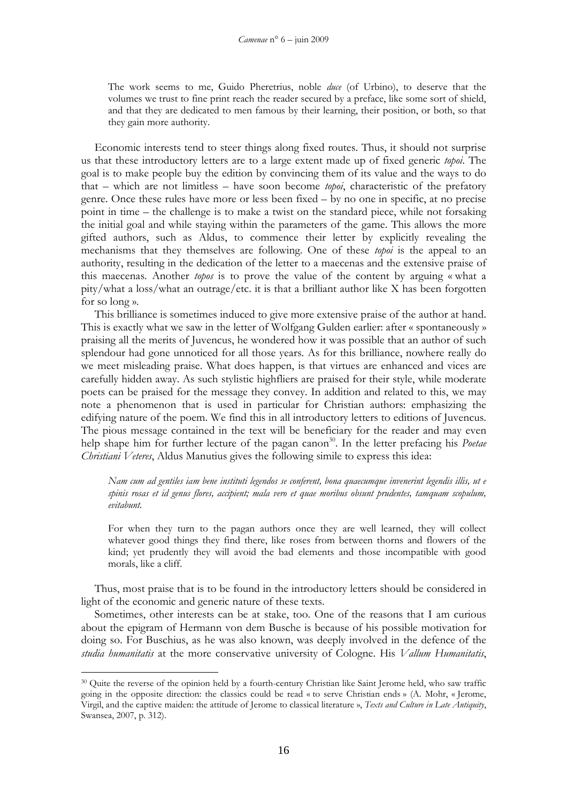The work seems to me, Guido Pheretrius, noble *duce* (of Urbino), to deserve that the volumes we trust to fine print reach the reader secured by a preface, like some sort of shield, and that they are dedicated to men famous by their learning, their position, or both, so that they gain more authority.

Economic interests tend to steer things along fixed routes. Thus, it should not surprise us that these introductory letters are to a large extent made up of fixed generic *topoi*. The goal is to make people buy the edition by convincing them of its value and the ways to do that – which are not limitless – have soon become *topoi*, characteristic of the prefatory genre. Once these rules have more or less been fixed – by no one in specific, at no precise point in time – the challenge is to make a twist on the standard piece, while not forsaking the initial goal and while staying within the parameters of the game. This allows the more gifted authors, such as Aldus, to commence their letter by explicitly revealing the mechanisms that they themselves are following. One of these *topoi* is the appeal to an authority, resulting in the dedication of the letter to a maecenas and the extensive praise of this maecenas. Another *topos* is to prove the value of the content by arguing « what a pity/what a loss/what an outrage/etc. it is that a brilliant author like X has been forgotten for so long ».

This brilliance is sometimes induced to give more extensive praise of the author at hand. This is exactly what we saw in the letter of Wolfgang Gulden earlier: after « spontaneously » praising all the merits of Juvencus, he wondered how it was possible that an author of such splendour had gone unnoticed for all those years. As for this brilliance, nowhere really do we meet misleading praise. What does happen, is that virtues are enhanced and vices are carefully hidden away. As such stylistic highfliers are praised for their style, while moderate poets can be praised for the message they convey. In addition and related to this, we may note a phenomenon that is used in particular for Christian authors: emphasizing the edifying nature of the poem. We find this in all introductory letters to editions of Juvencus. The pious message contained in the text will be beneficiary for the reader and may even help shape him for further lecture of the pagan canon<sup>30</sup>. In the letter prefacing his *Poetae Christiani Veteres*, Aldus Manutius gives the following simile to express this idea:

*Nam cum ad gentiles iam bene instituti legendos se conferent, bona quaecumque invenerint legendis illis, ut e spinis rosas et id genus flores, accipient; mala vero et quae moribus obsunt prudentes, tamquam scopulum, evitabunt.*

For when they turn to the pagan authors once they are well learned, they will collect whatever good things they find there, like roses from between thorns and flowers of the kind; yet prudently they will avoid the bad elements and those incompatible with good morals, like a cliff.

Thus, most praise that is to be found in the introductory letters should be considered in light of the economic and generic nature of these texts.

Sometimes, other interests can be at stake, too. One of the reasons that I am curious about the epigram of Hermann von dem Busche is because of his possible motivation for doing so. For Buschius, as he was also known, was deeply involved in the defence of the *studia humanitatis* at the more conservative university of Cologne. His *Vallum Humanitatis*,

<sup>&</sup>lt;sup>30</sup> Quite the reverse of the opinion held by a fourth-century Christian like Saint Jerome held, who saw traffic going in the opposite direction: the classics could be read « to serve Christian ends » (A. Mohr, « Jerome, Virgil, and the captive maiden: the attitude of Jerome to classical literature », *Texts and Culture in Late Antiquity*, Swansea, 2007, p. 312).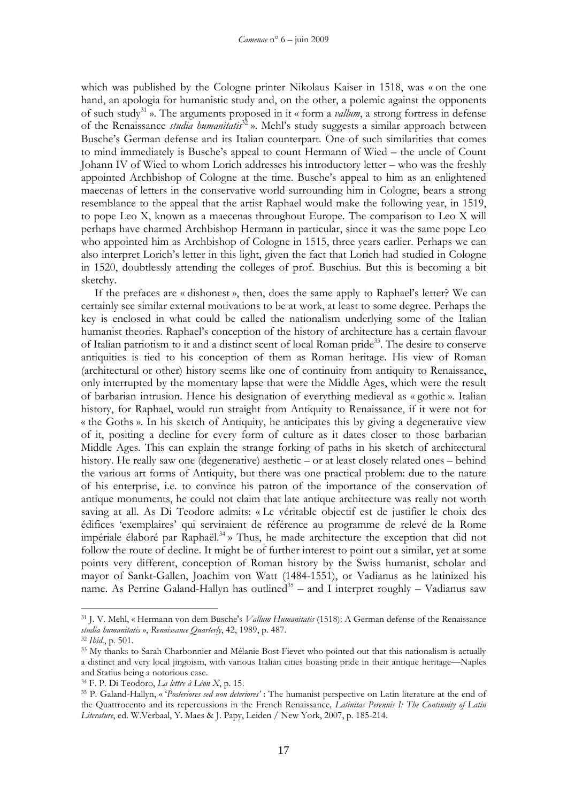which was published by the Cologne printer Nikolaus Kaiser in 1518, was « on the one hand, an apologia for humanistic study and, on the other, a polemic against the opponents of such study<sup>31</sup> ». The arguments proposed in it « form a *vallum*, a strong fortress in defense of the Renaissance *studia humanitatis*<sup>32</sup> ». Mehl's study suggests a similar approach between Busche's German defense and its Italian counterpart. One of such similarities that comes to mind immediately is Busche's appeal to count Hermann of Wied – the uncle of Count Johann IV of Wied to whom Lorich addresses his introductory letter – who was the freshly appointed Archbishop of Cologne at the time. Busche's appeal to him as an enlightened maecenas of letters in the conservative world surrounding him in Cologne, bears a strong resemblance to the appeal that the artist Raphael would make the following year, in 1519, to pope Leo X, known as a maecenas throughout Europe. The comparison to Leo X will perhaps have charmed Archbishop Hermann in particular, since it was the same pope Leo who appointed him as Archbishop of Cologne in 1515, three years earlier. Perhaps we can also interpret Lorich's letter in this light, given the fact that Lorich had studied in Cologne in 1520, doubtlessly attending the colleges of prof. Buschius. But this is becoming a bit sketchy.

If the prefaces are « dishonest », then, does the same apply to Raphael's letter? We can certainly see similar external motivations to be at work, at least to some degree. Perhaps the key is enclosed in what could be called the nationalism underlying some of the Italian humanist theories. Raphael's conception of the history of architecture has a certain flavour of Italian patriotism to it and a distinct scent of local Roman pride<sup>33</sup>. The desire to conserve antiquities is tied to his conception of them as Roman heritage. His view of Roman (architectural or other) history seems like one of continuity from antiquity to Renaissance, only interrupted by the momentary lapse that were the Middle Ages, which were the result of barbarian intrusion. Hence his designation of everything medieval as « gothic ». Italian history, for Raphael, would run straight from Antiquity to Renaissance, if it were not for « the Goths ». In his sketch of Antiquity, he anticipates this by giving a degenerative view of it, positing a decline for every form of culture as it dates closer to those barbarian Middle Ages. This can explain the strange forking of paths in his sketch of architectural history. He really saw one (degenerative) aesthetic – or at least closely related ones – behind the various art forms of Antiquity, but there was one practical problem: due to the nature of his enterprise, i.e. to convince his patron of the importance of the conservation of antique monuments, he could not claim that late antique architecture was really not worth saving at all. As Di Teodore admits: « Le véritable objectif est de justifier le choix des édifices 'exemplaires' qui serviraient de référence au programme de relevé de la Rome impériale élaboré par Raphaël. 34 » Thus, he made architecture the exception that did not follow the route of decline. It might be of further interest to point out a similar, yet at some points very different, conception of Roman history by the Swiss humanist, scholar and mayor of Sankt-Gallen, Joachim von Watt (1484-1551), or Vadianus as he latinized his name. As Perrine Galand-Hallyn has outlined<sup>35</sup> – and I interpret roughly – Vadianus saw

<sup>31</sup> J. V. Mehl, « Hermann von dem Busche's *Vallum Humanitatis* (1518): A German defense of the Renaissance *studia humanitatis* », *Renaissance Quarterly*, 42, 1989, p. 487.

<sup>32</sup> *Ibid*., p. 501.

<sup>&</sup>lt;sup>33</sup> My thanks to Sarah Charbonnier and Mélanie Bost-Fievet who pointed out that this nationalism is actually a distinct and very local jingoism, with various Italian cities boasting pride in their antique heritage—Naples and Statius being a notorious case.

<sup>34</sup> F. P. Di Teodoro, *La lettre à Léon X*, p. 15.

<sup>35</sup> P. Galand-Hallyn, « '*Posteriores sed non deteriores'* : The humanist perspective on Latin literature at the end of the Quattrocento and its repercussions in the French Renaissance*, Latinitas Perennis I: The Continuity of Latin Literature*, ed. W.Verbaal, Y. Maes & J. Papy, Leiden / New York, 2007, p. 185-214.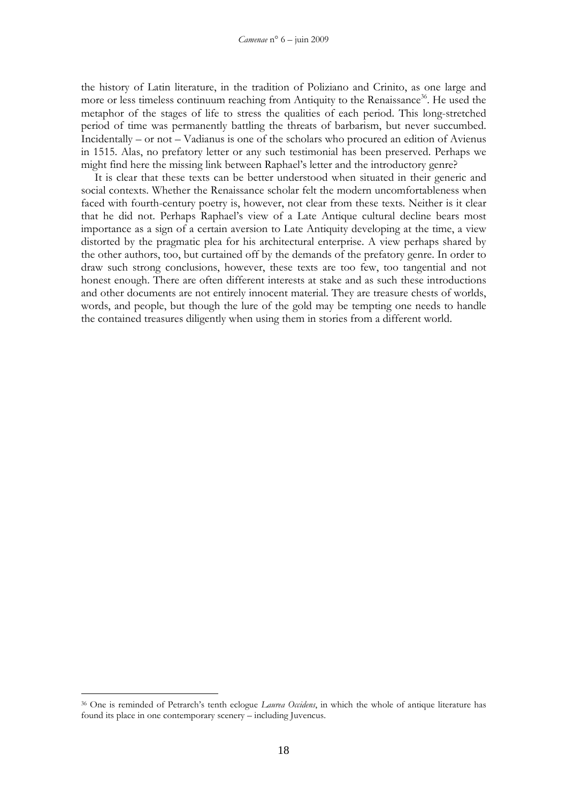the history of Latin literature, in the tradition of Poliziano and Crinito, as one large and more or less timeless continuum reaching from Antiquity to the Renaissance<sup>36</sup>. He used the metaphor of the stages of life to stress the qualities of each period. This long-stretched period of time was permanently battling the threats of barbarism, but never succumbed. Incidentally – or not – Vadianus is one of the scholars who procured an edition of Avienus in 1515. Alas, no prefatory letter or any such testimonial has been preserved. Perhaps we might find here the missing link between Raphael's letter and the introductory genre?

It is clear that these texts can be better understood when situated in their generic and social contexts. Whether the Renaissance scholar felt the modern uncomfortableness when faced with fourth-century poetry is, however, not clear from these texts. Neither is it clear that he did not. Perhaps Raphael's view of a Late Antique cultural decline bears most importance as a sign of a certain aversion to Late Antiquity developing at the time, a view distorted by the pragmatic plea for his architectural enterprise. A view perhaps shared by the other authors, too, but curtained off by the demands of the prefatory genre. In order to draw such strong conclusions, however, these texts are too few, too tangential and not honest enough. There are often different interests at stake and as such these introductions and other documents are not entirely innocent material. They are treasure chests of worlds, words, and people, but though the lure of the gold may be tempting one needs to handle the contained treasures diligently when using them in stories from a different world.

<sup>36</sup> One is reminded of Petrarch's tenth eclogue *Laurea Occidens*, in which the whole of antique literature has found its place in one contemporary scenery – including Juvencus.